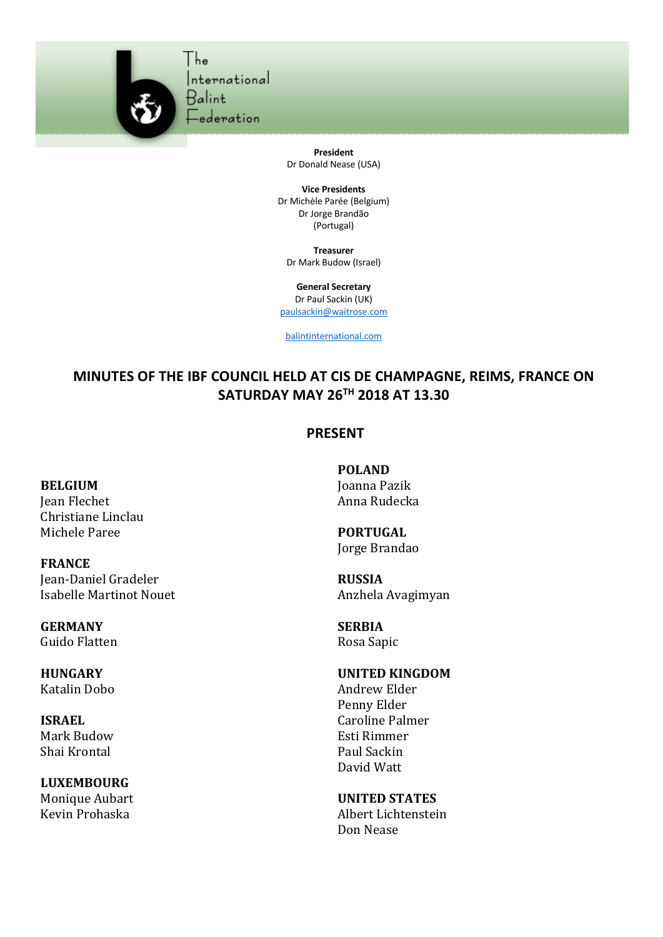

**President** Dr Donald Nease (USA)

**Vice Presidents** Dr Michèle Parée (Belgium) Dr Jorge Brandão (Portugal)

**Treasurer** Dr Mark Budow (Israel)

**General Secretary** Dr Paul Sackin (UK) paulsackin@waitrose.com

balintinternational.com

## **MINUTES OF THE IBF COUNCIL HELD AT CIS DE CHAMPAGNE, REIMS, FRANCE ON SATURDAY MAY 26TH 2018 AT 13.30**

## **PRESENT**

## **BELGIUM**

Jean Flechet Christiane Linclau Michele Paree

**FRANCE** Jean-Daniel Gradeler Isabelle Martinot Nouet

**GERMANY** Guido Flatten

**HUNGARY** Katalin Dobo

**ISRAEL** Mark Budow Shai Krontal

**LUXEMBOURG** Monique Aubart Kevin Prohaska

**POLAND** Joanna Pazik Anna Rudecka

**PORTUGAL** Jorge Brandao

**RUSSIA** Anzhela Avagimyan

**SERBIA** Rosa Sapic

## **UNITED KINGDOM**

Andrew Elder Penny Elder Caroline Palmer Esti Rimmer Paul Sackin David Watt

**UNITED STATES** Albert Lichtenstein Don Nease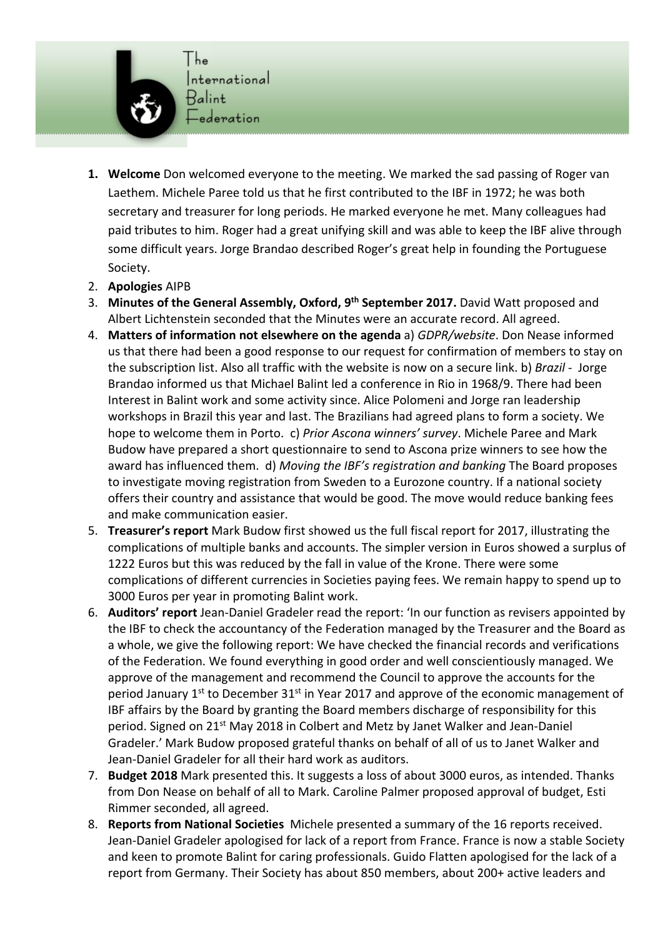

- **1. Welcome** Don welcomed everyone to the meeting. We marked the sad passing of Roger van Laethem. Michele Paree told us that he first contributed to the IBF in 1972; he was both secretary and treasurer for long periods. He marked everyone he met. Many colleagues had paid tributes to him. Roger had a great unifying skill and was able to keep the IBF alive through some difficult years. Jorge Brandao described Roger's great help in founding the Portuguese Society.
- 2. **Apologies** AIPB
- 3. **Minutes of the General Assembly, Oxford, 9th September 2017.** David Watt proposed and Albert Lichtenstein seconded that the Minutes were an accurate record. All agreed.
- 4. **Matters of information not elsewhere on the agenda** a) *GDPR/website*. Don Nease informed us that there had been a good response to our request for confirmation of members to stay on the subscription list. Also all traffic with the website is now on a secure link. b) *Brazil* - Jorge Brandao informed us that Michael Balint led a conference in Rio in 1968/9. There had been Interest in Balint work and some activity since. Alice Polomeni and Jorge ran leadership workshops in Brazil this year and last. The Brazilians had agreed plans to form a society. We hope to welcome them in Porto. c) *Prior Ascona winners' survey*. Michele Paree and Mark Budow have prepared a short questionnaire to send to Ascona prize winners to see how the award has influenced them. d) *Moving the IBF's registration and banking* The Board proposes to investigate moving registration from Sweden to a Eurozone country. If a national society offers their country and assistance that would be good. The move would reduce banking fees and make communication easier.
- 5. **Treasurer's report** Mark Budow first showed us the full fiscal report for 2017, illustrating the complications of multiple banks and accounts. The simpler version in Euros showed a surplus of 1222 Euros but this was reduced by the fall in value of the Krone. There were some complications of different currencies in Societies paying fees. We remain happy to spend up to 3000 Euros per year in promoting Balint work.
- 6. **Auditors' report** Jean-Daniel Gradeler read the report: 'In our function as revisers appointed by the IBF to check the accountancy of the Federation managed by the Treasurer and the Board as a whole, we give the following report: We have checked the financial records and verifications of the Federation. We found everything in good order and well conscientiously managed. We approve of the management and recommend the Council to approve the accounts for the period January  $1^{st}$  to December  $31^{st}$  in Year 2017 and approve of the economic management of IBF affairs by the Board by granting the Board members discharge of responsibility for this period. Signed on 21st May 2018 in Colbert and Metz by Janet Walker and Jean-Daniel Gradeler.' Mark Budow proposed grateful thanks on behalf of all of us to Janet Walker and Jean-Daniel Gradeler for all their hard work as auditors.
- 7. **Budget 2018** Mark presented this. It suggests a loss of about 3000 euros, as intended. Thanks from Don Nease on behalf of all to Mark. Caroline Palmer proposed approval of budget, Esti Rimmer seconded, all agreed.
- 8. **Reports from National Societies** Michele presented a summary of the 16 reports received. Jean-Daniel Gradeler apologised for lack of a report from France. France is now a stable Society and keen to promote Balint for caring professionals. Guido Flatten apologised for the lack of a report from Germany. Their Society has about 850 members, about 200+ active leaders and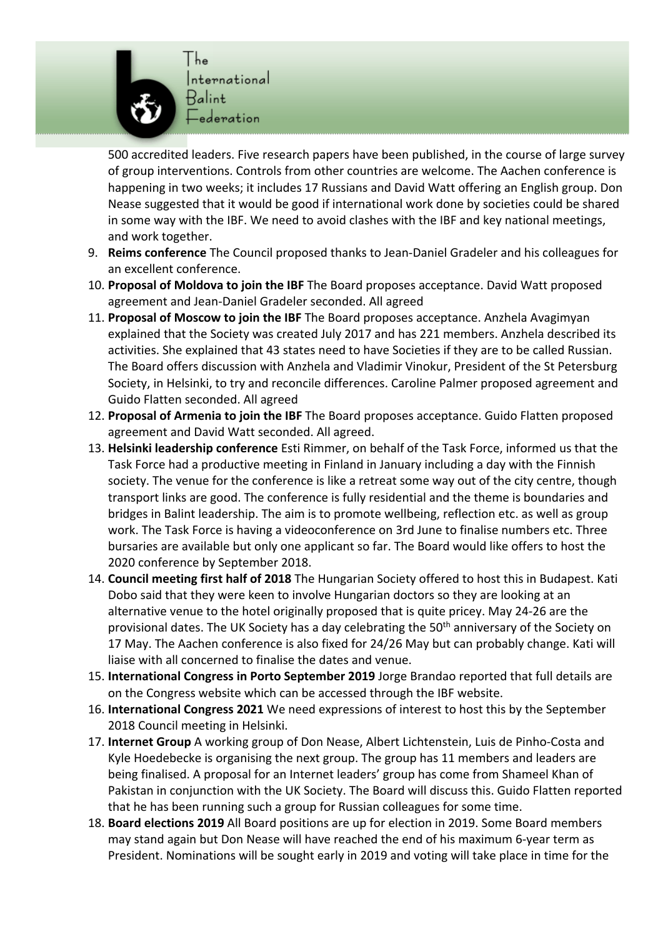

500 accredited leaders. Five research papers have been published, in the course of large survey of group interventions. Controls from other countries are welcome. The Aachen conference is happening in two weeks; it includes 17 Russians and David Watt offering an English group. Don Nease suggested that it would be good if international work done by societies could be shared in some way with the IBF. We need to avoid clashes with the IBF and key national meetings, and work together.

- 9. **Reims conference** The Council proposed thanks to Jean-Daniel Gradeler and his colleagues for an excellent conference.
- 10. **Proposal of Moldova to join the IBF** The Board proposes acceptance. David Watt proposed agreement and Jean-Daniel Gradeler seconded. All agreed
- 11. **Proposal of Moscow to join the IBF** The Board proposes acceptance. Anzhela Avagimyan explained that the Society was created July 2017 and has 221 members. Anzhela described its activities. She explained that 43 states need to have Societies if they are to be called Russian. The Board offers discussion with Anzhela and Vladimir Vinokur, President of the St Petersburg Society, in Helsinki, to try and reconcile differences. Caroline Palmer proposed agreement and Guido Flatten seconded. All agreed
- 12. **Proposal of Armenia to join the IBF** The Board proposes acceptance. Guido Flatten proposed agreement and David Watt seconded. All agreed.
- 13. **Helsinki leadership conference** Esti Rimmer, on behalf of the Task Force, informed us that the Task Force had a productive meeting in Finland in January including a day with the Finnish society. The venue for the conference is like a retreat some way out of the city centre, though transport links are good. The conference is fully residential and the theme is boundaries and bridges in Balint leadership. The aim is to promote wellbeing, reflection etc. as well as group work. The Task Force is having a videoconference on 3rd June to finalise numbers etc. Three bursaries are available but only one applicant so far. The Board would like offers to host the 2020 conference by September 2018.
- 14. **Council meeting first half of 2018** The Hungarian Society offered to host this in Budapest. Kati Dobo said that they were keen to involve Hungarian doctors so they are looking at an alternative venue to the hotel originally proposed that is quite pricey. May 24-26 are the provisional dates. The UK Society has a day celebrating the 50<sup>th</sup> anniversary of the Society on 17 May. The Aachen conference is also fixed for 24/26 May but can probably change. Kati will liaise with all concerned to finalise the dates and venue.
- 15. **International Congress in Porto September 2019** Jorge Brandao reported that full details are on the Congress website which can be accessed through the IBF website.
- 16. **International Congress 2021** We need expressions of interest to host this by the September 2018 Council meeting in Helsinki.
- 17. **Internet Group** A working group of Don Nease, Albert Lichtenstein, Luis de Pinho-Costa and Kyle Hoedebecke is organising the next group. The group has 11 members and leaders are being finalised. A proposal for an Internet leaders' group has come from Shameel Khan of Pakistan in conjunction with the UK Society. The Board will discuss this. Guido Flatten reported that he has been running such a group for Russian colleagues for some time.
- 18. **Board elections 2019** All Board positions are up for election in 2019. Some Board members may stand again but Don Nease will have reached the end of his maximum 6-year term as President. Nominations will be sought early in 2019 and voting will take place in time for the